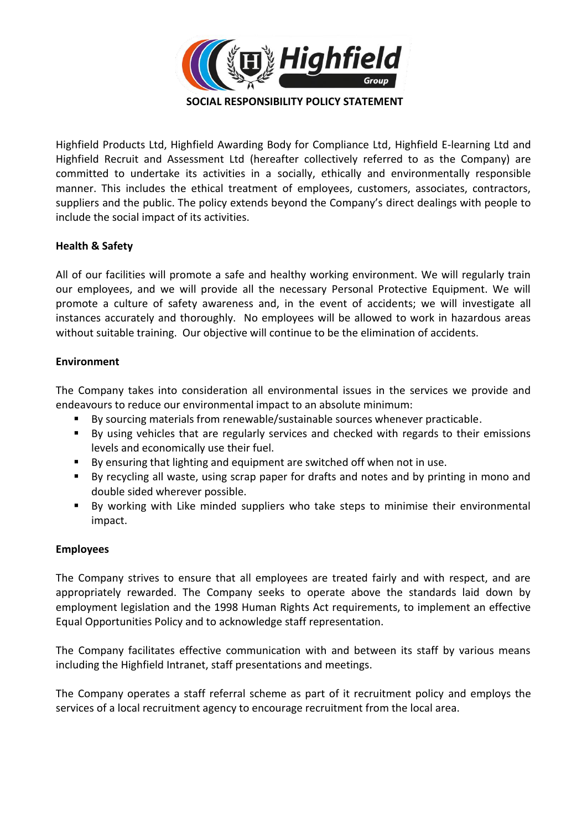

Highfield Products Ltd, Highfield Awarding Body for Compliance Ltd, Highfield E-learning Ltd and Highfield Recruit and Assessment Ltd (hereafter collectively referred to as the Company) are committed to undertake its activities in a socially, ethically and environmentally responsible manner. This includes the ethical treatment of employees, customers, associates, contractors, suppliers and the public. The policy extends beyond the Company's direct dealings with people to include the social impact of its activities.

## **Health & Safety**

All of our facilities will promote a safe and healthy working environment. We will regularly train our employees, and we will provide all the necessary Personal Protective Equipment. We will promote a culture of safety awareness and, in the event of accidents; we will investigate all instances accurately and thoroughly. No employees will be allowed to work in hazardous areas without suitable training. Our objective will continue to be the elimination of accidents.

## **Environment**

The Company takes into consideration all environmental issues in the services we provide and endeavours to reduce our environmental impact to an absolute minimum:

- By sourcing materials from renewable/sustainable sources whenever practicable.
- By using vehicles that are regularly services and checked with regards to their emissions levels and economically use their fuel.
- By ensuring that lighting and equipment are switched off when not in use.
- By recycling all waste, using scrap paper for drafts and notes and by printing in mono and double sided wherever possible.
- By working with Like minded suppliers who take steps to minimise their environmental impact.

# **Employees**

The Company strives to ensure that all employees are treated fairly and with respect, and are appropriately rewarded. The Company seeks to operate above the standards laid down by employment legislation and the 1998 Human Rights Act requirements, to implement an effective Equal Opportunities Policy and to acknowledge staff representation.

The Company facilitates effective communication with and between its staff by various means including the Highfield Intranet, staff presentations and meetings.

The Company operates a staff referral scheme as part of it recruitment policy and employs the services of a local recruitment agency to encourage recruitment from the local area.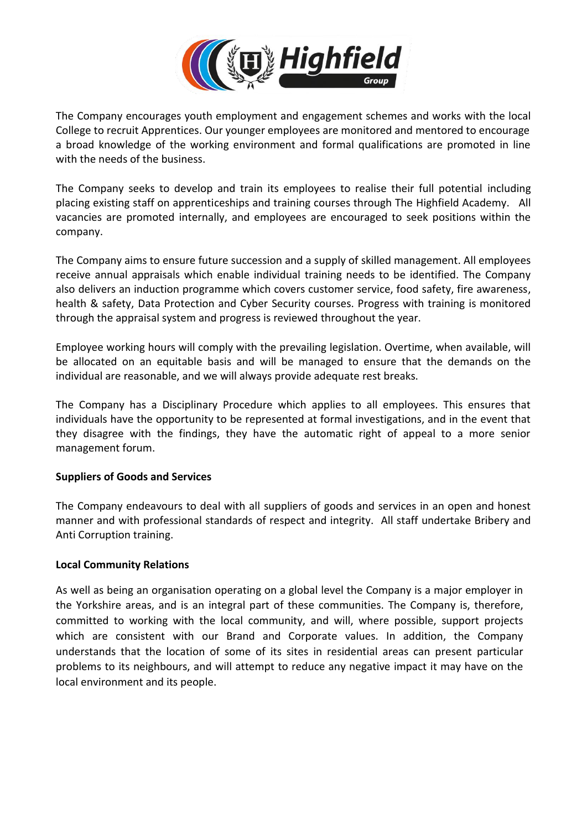

The Company encourages youth employment and engagement schemes and works with the local College to recruit Apprentices. Our younger employees are monitored and mentored to encourage a broad knowledge of the working environment and formal qualifications are promoted in line with the needs of the business.

The Company seeks to develop and train its employees to realise their full potential including placing existing staff on apprenticeships and training courses through The Highfield Academy. All vacancies are promoted internally, and employees are encouraged to seek positions within the company.

The Company aims to ensure future succession and a supply of skilled management. All employees receive annual appraisals which enable individual training needs to be identified. The Company also delivers an induction programme which covers customer service, food safety, fire awareness, health & safety, Data Protection and Cyber Security courses. Progress with training is monitored through the appraisal system and progress is reviewed throughout the year.

Employee working hours will comply with the prevailing legislation. Overtime, when available, will be allocated on an equitable basis and will be managed to ensure that the demands on the individual are reasonable, and we will always provide adequate rest breaks.

The Company has a Disciplinary Procedure which applies to all employees. This ensures that individuals have the opportunity to be represented at formal investigations, and in the event that they disagree with the findings, they have the automatic right of appeal to a more senior management forum.

# **Suppliers of Goods and Services**

The Company endeavours to deal with all suppliers of goods and services in an open and honest manner and with professional standards of respect and integrity. All staff undertake Bribery and Anti Corruption training.

#### **Local Community Relations**

As well as being an organisation operating on a global level the Company is a major employer in the Yorkshire areas, and is an integral part of these communities. The Company is, therefore, committed to working with the local community, and will, where possible, support projects which are consistent with our Brand and Corporate values. In addition, the Company understands that the location of some of its sites in residential areas can present particular problems to its neighbours, and will attempt to reduce any negative impact it may have on the local environment and its people.